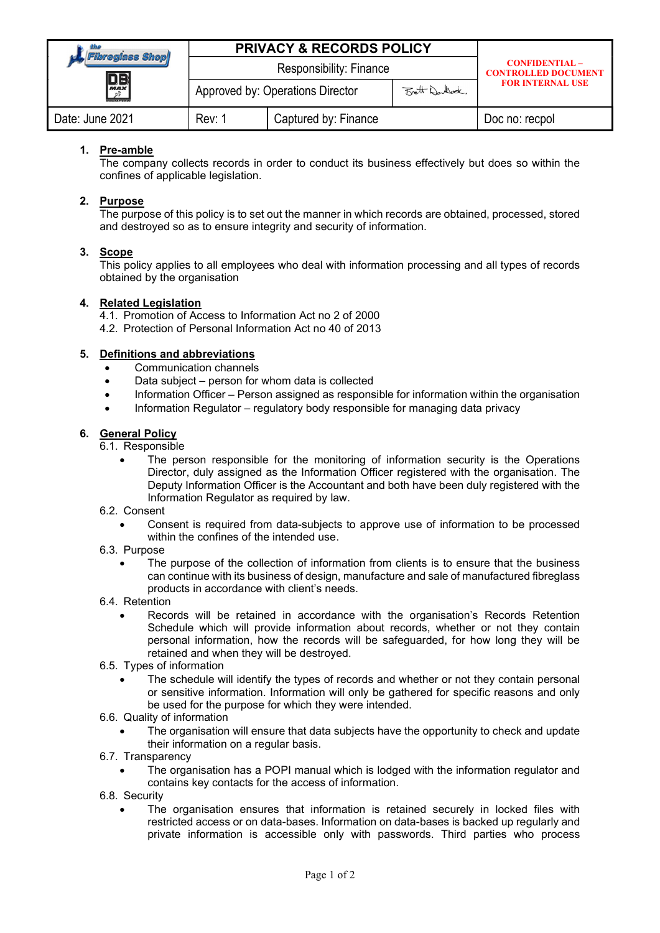| <b>Fibregiass Shop</b><br>$\boxed{\frac{{\color{blue}\Box {\color{green}\Box}}}{{\color{blue}\mathit{max}}}}$ | <b>PRIVACY &amp; RECORDS POLICY</b>               |                      |  | <b>CONFIDENTIAL-</b><br><b>CONTROLLED DOCUMENT</b><br><b>FOR INTERNAL USE</b> |
|---------------------------------------------------------------------------------------------------------------|---------------------------------------------------|----------------------|--|-------------------------------------------------------------------------------|
|                                                                                                               | Responsibility: Finance                           |                      |  |                                                                               |
|                                                                                                               | Approved by: Operations Director<br>Bett Deulled. |                      |  |                                                                               |
| Date: June 2021                                                                                               | Rev: 1                                            | Captured by: Finance |  | Doc no: recpol                                                                |

# 1. Pre-amble

The company collects records in order to conduct its business effectively but does so within the confines of applicable legislation.

### 2. Purpose

The purpose of this policy is to set out the manner in which records are obtained, processed, stored and destroyed so as to ensure integrity and security of information.

### 3. Scope

This policy applies to all employees who deal with information processing and all types of records obtained by the organisation

### 4. Related Legislation

4.1. Promotion of Access to Information Act no 2 of 2000

4.2. Protection of Personal Information Act no 40 of 2013

### 5. Definitions and abbreviations

- Communication channels
- Data subject person for whom data is collected
- Information Officer Person assigned as responsible for information within the organisation
- Information Regulator regulatory body responsible for managing data privacy

### 6. General Policy

6.1. Responsible

- The person responsible for the monitoring of information security is the Operations Director, duly assigned as the Information Officer registered with the organisation. The Deputy Information Officer is the Accountant and both have been duly registered with the Information Regulator as required by law.
- 6.2. Consent
	- Consent is required from data-subjects to approve use of information to be processed within the confines of the intended use.
- 6.3. Purpose
	- The purpose of the collection of information from clients is to ensure that the business can continue with its business of design, manufacture and sale of manufactured fibreglass products in accordance with client's needs.
- 6.4. Retention
	- Records will be retained in accordance with the organisation's Records Retention Schedule which will provide information about records, whether or not they contain personal information, how the records will be safeguarded, for how long they will be retained and when they will be destroyed.
- 6.5. Types of information
	- The schedule will identify the types of records and whether or not they contain personal or sensitive information. Information will only be gathered for specific reasons and only be used for the purpose for which they were intended.
- 6.6. Quality of information
	- The organisation will ensure that data subjects have the opportunity to check and update their information on a regular basis.
- 6.7. Transparency
	- The organisation has a POPI manual which is lodged with the information regulator and contains key contacts for the access of information.
- 6.8. Security
	- The organisation ensures that information is retained securely in locked files with restricted access or on data-bases. Information on data-bases is backed up regularly and private information is accessible only with passwords. Third parties who process